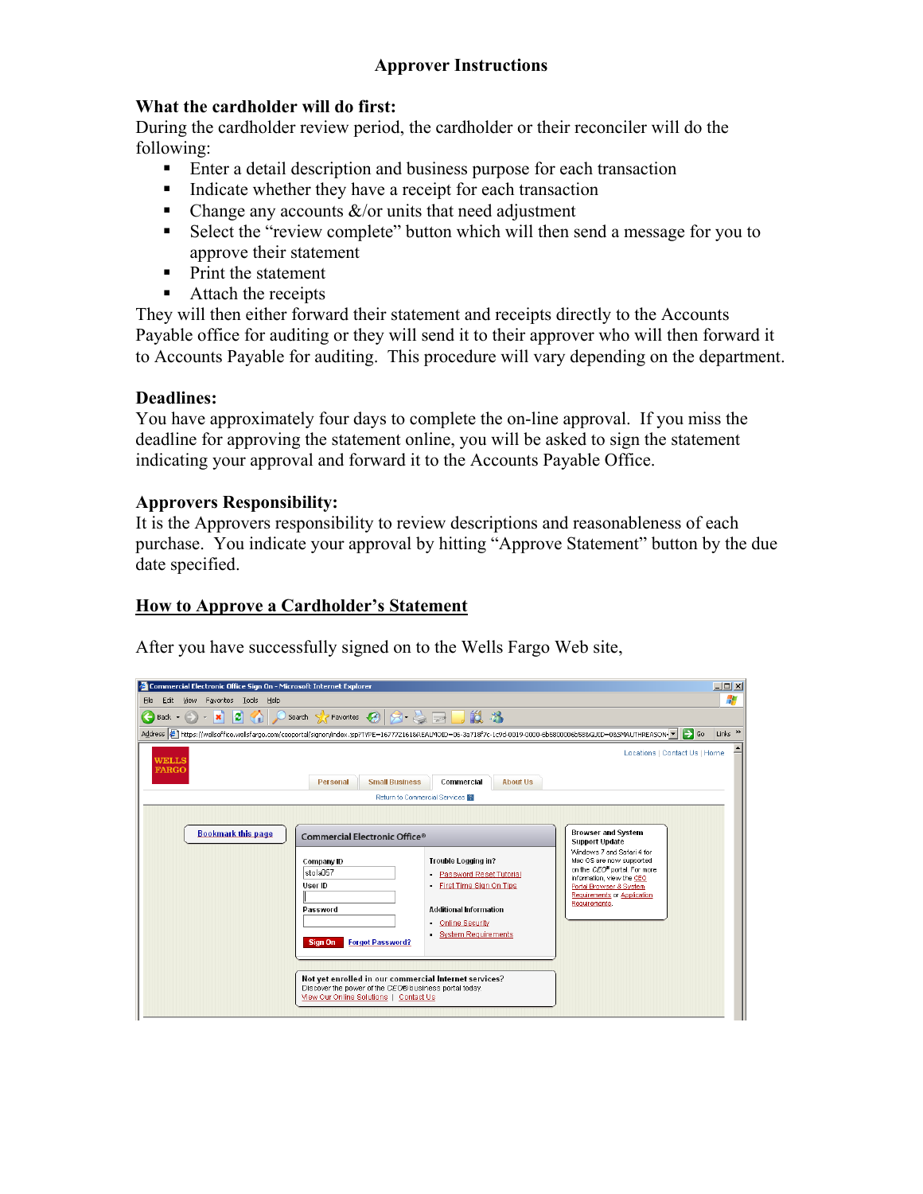# **Approver Instructions**

## **What the cardholder will do first:**

During the cardholder review period, the cardholder or their reconciler will do the following:

- **Enter a detail description and business purpose for each transaction**
- Indicate whether they have a receipt for each transaction
- Change any accounts  $\&$ /or units that need adjustment
- Select the "review complete" button which will then send a message for you to approve their statement
- Print the statement
- Attach the receipts

They will then either forward their statement and receipts directly to the Accounts Payable office for auditing or they will send it to their approver who will then forward it to Accounts Payable for auditing. This procedure will vary depending on the department.

## **Deadlines:**

You have approximately four days to complete the on-line approval. If you miss the deadline for approving the statement online, you will be asked to sign the statement indicating your approval and forward it to the Accounts Payable Office.

## **Approvers Responsibility:**

It is the Approvers responsibility to review descriptions and reasonableness of each purchase. You indicate your approval by hitting "Approve Statement" button by the due date specified.

## **How to Approve a Cardholder's Statement**

After you have successfully signed on to the Wells Fargo Web site,

| Commercial Electronic Office Sign On - Microsoft Internet Explorer                                                                                           |                                                                                                                      |                                                                                                                                                             |                                                                                                                                                                                                                         | $\Box$                    |
|--------------------------------------------------------------------------------------------------------------------------------------------------------------|----------------------------------------------------------------------------------------------------------------------|-------------------------------------------------------------------------------------------------------------------------------------------------------------|-------------------------------------------------------------------------------------------------------------------------------------------------------------------------------------------------------------------------|---------------------------|
| View Favorites Tools Help<br>Eile<br>Edit                                                                                                                    |                                                                                                                      |                                                                                                                                                             |                                                                                                                                                                                                                         | Æ                         |
|                                                                                                                                                              |                                                                                                                      |                                                                                                                                                             |                                                                                                                                                                                                                         |                           |
| Address ( https://wellsoffice.wellsfargo.com/ceoportal/signon/index.jsp?TYPE=167772161&REALMOID=06-3a718f7c-1c9d-0019-0000-6b5800006b588GUID=08SMAUTHREASON= |                                                                                                                      |                                                                                                                                                             | $\rightarrow$ Go                                                                                                                                                                                                        | Links <sup>&gt;&gt;</sup> |
| WELLS<br><b>FARGO</b>                                                                                                                                        |                                                                                                                      |                                                                                                                                                             | Locations   Contact Us   Home                                                                                                                                                                                           |                           |
|                                                                                                                                                              | <b>Small Business</b><br>Personal                                                                                    | Commercial<br><b>About Us</b>                                                                                                                               |                                                                                                                                                                                                                         |                           |
|                                                                                                                                                              |                                                                                                                      | Return to Commercial Services                                                                                                                               |                                                                                                                                                                                                                         |                           |
| <b>Bookmark this page</b>                                                                                                                                    | <b>Browser and System</b>                                                                                            |                                                                                                                                                             |                                                                                                                                                                                                                         |                           |
|                                                                                                                                                              | Commercial Electronic Office®<br>Company ID<br>stola057<br>User ID<br>Password<br><b>Forgot Password?</b><br>Sign On | Trouble Logging in?<br>Password Reset Tutorial<br>First Time Sign On Tips<br><b>Additional Information</b><br><b>Online Security</b><br>System Requirements | <b>Support Update</b><br>Windows 7 and Safari 4 for<br>Mac OS are now supported<br>on the CEO® portal. For more<br>information, view the CEO<br>Portal Browser & System<br>Requirements or Application<br>Requirements. |                           |
|                                                                                                                                                              |                                                                                                                      |                                                                                                                                                             |                                                                                                                                                                                                                         |                           |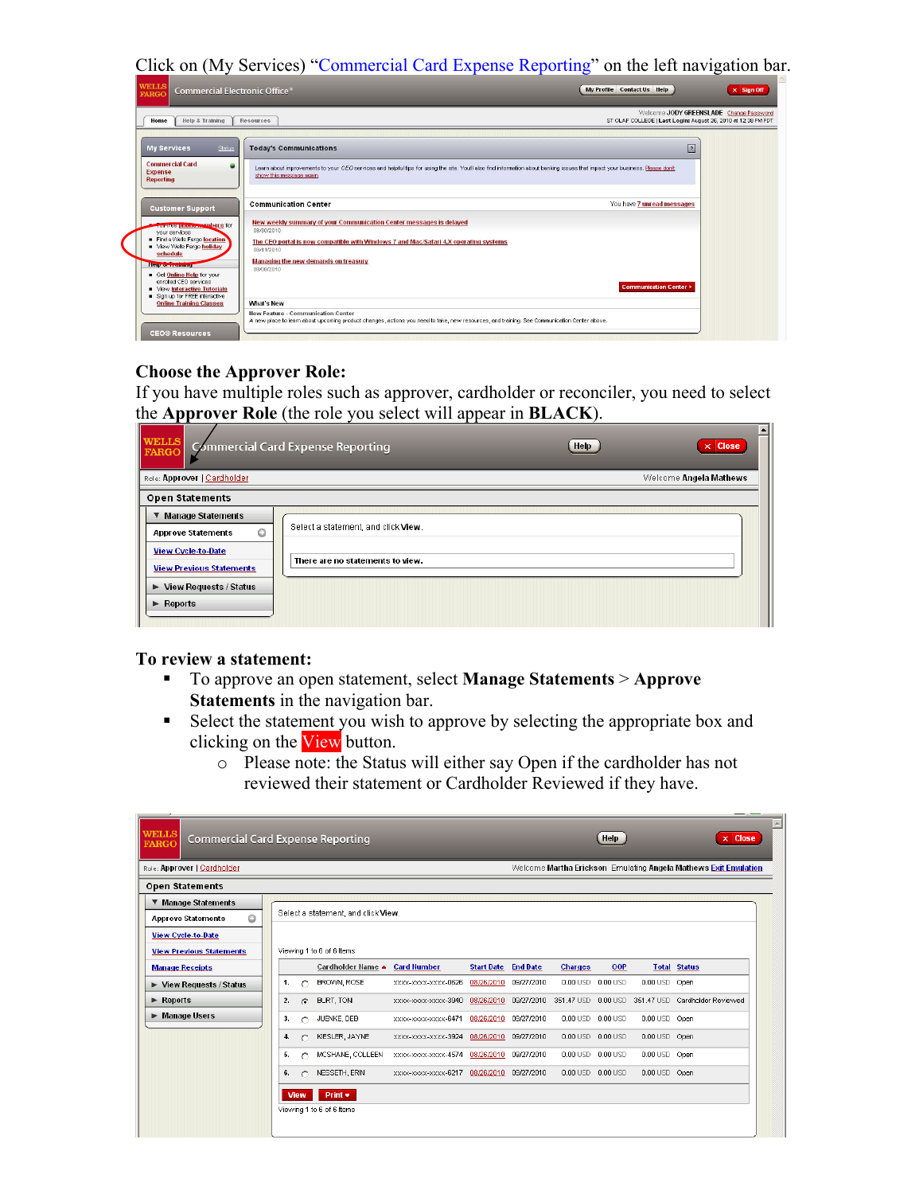Click on (My Services) "Commercial Card Expense Reporting" on the left navigation bar.

| Help & Training<br>Home                                             | Resources                                                                                                                                                                                                | Welcome JODY GREENSLADE Change Password<br>ST OLAF COLLEGE I Last Login: August 26, 2010 at 12:38 PM PDT |  |
|---------------------------------------------------------------------|----------------------------------------------------------------------------------------------------------------------------------------------------------------------------------------------------------|----------------------------------------------------------------------------------------------------------|--|
| Status<br><b>My Services</b>                                        | <b>Today's Communications</b>                                                                                                                                                                            | $\sqrt{2}$                                                                                               |  |
| <b>Commercial Card</b><br>۰<br><b>Expense</b><br><b>Reporting</b>   | Learn about improvements to your CEO services and helpful tips for using the site. You'll also find information about banking issues that impact your business. Please don't<br>show this message again. |                                                                                                          |  |
| <b>Customer Support</b>                                             | <b>Communication Center</b>                                                                                                                                                                              | You have 7 unread messages                                                                               |  |
| <b>Countries provide and part of the State</b><br>vour services     | New weekly summary of your Communication Center messages is delayed<br>08/30/2010                                                                                                                        |                                                                                                          |  |
| Find a Wells Fargo location<br>View Wells Fargo holiday<br>schedule | The CEO portal is now compatible with Windows 7 and Mac/Safari 4.X operating systems<br>08/11/2010                                                                                                       |                                                                                                          |  |
| <b>Help &amp; Matthews</b><br>Get Online Help for your              | Managing the new demands on treasury<br>08/09/2010                                                                                                                                                       |                                                                                                          |  |
| enrolled CEO services<br><b>Niew Interactive Tutorials</b>          |                                                                                                                                                                                                          | <b>Communication Center &gt;</b>                                                                         |  |
| Sign up for FREE interactive<br><b>Online Training Classes</b>      | <b>What's New</b>                                                                                                                                                                                        |                                                                                                          |  |

#### **Choose the Approver Role:**

If you have multiple roles such as approver, cardholder or reconciler, you need to select the **Approver Role** (the role you select will appear in **BLACK**).  $\overline{\phantom{a}}$ 

| WELLS<br>FARGO                                                                                                                                                                                                    | Commercial Card Expense Reporting<br>Help                               | $\times$ Close |  |  |  |  |  |
|-------------------------------------------------------------------------------------------------------------------------------------------------------------------------------------------------------------------|-------------------------------------------------------------------------|----------------|--|--|--|--|--|
| Role: Approver   Cardholder<br>Welcome Angela Mathews                                                                                                                                                             |                                                                         |                |  |  |  |  |  |
| <b>Open Statements</b>                                                                                                                                                                                            |                                                                         |                |  |  |  |  |  |
| <b>Manage Statements</b><br>$\circ$<br><b>Approve Statements</b><br><b>View Cycle-to-Date</b><br><b>View Previous Statements</b><br>$\blacktriangleright$ View Requests / Status<br>$\blacktriangleright$ Reports | Select a statement, and click View.<br>There are no statements to view. |                |  |  |  |  |  |

#### **To review a statement:**

- To approve an open statement, select **Manage Statements** > **Approve Statements** in the navigation bar.
- Select the statement you wish to approve by selecting the appropriate box and clicking on the View button.
	- o Please note: the Status will either say Open if the cardholder has not reviewed their statement or Cardholder Reviewed if they have.

| <b>WELLS</b><br><b>FARGO</b>  | <b>Commercial Card Expense Reporting</b>                                                       |  |    |             |                                     |                                           |                            |                       |                   | Help              |               | $\times$ Close                                     |
|-------------------------------|------------------------------------------------------------------------------------------------|--|----|-------------|-------------------------------------|-------------------------------------------|----------------------------|-----------------------|-------------------|-------------------|---------------|----------------------------------------------------|
|                               | Role: Approver   Cardholder<br>Welcome Martha Erickson Emulating Angela Mathews Exit Emulation |  |    |             |                                     |                                           |                            |                       |                   |                   |               |                                                    |
|                               | <b>Open Statements</b>                                                                         |  |    |             |                                     |                                           |                            |                       |                   |                   |               |                                                    |
|                               | ▼ Manage Statements<br><b>Approve Statements</b><br>O                                          |  |    |             | Select a statement, and click View. |                                           |                            |                       |                   |                   |               |                                                    |
|                               | <b>View Cycle-to-Date</b><br><b>View Previous Statements</b>                                   |  |    |             | Viewing 1 to 6 of 6 items           |                                           |                            |                       |                   |                   |               |                                                    |
|                               | <b>Manage Receipts</b>                                                                         |  |    |             | Cardholder Hame ▲ Card Humber       |                                           | <b>Start Date End Date</b> |                       | <b>Charges</b>    | OOP               |               | <b>Total Status</b>                                |
|                               | $\triangleright$ View Requests / Status                                                        |  | 1. | $\cap$      | BROWN, ROSE                         | XXXX-XXXX-XXXX-0626                       |                            | 08/26/2010 09/27/2010 | 0.00 USD 0.00 USD |                   | 0.00 USD Open |                                                    |
| $\blacktriangleright$ Reports |                                                                                                |  | 2. | G           | BURT, TONI                          | XXXX-XXXX-XXXX-3940                       |                            | 08/26/2010 09/27/2010 |                   |                   |               | 351,47 USD 0.00 USD 351,47 USD Cardholder Reviewed |
|                               | Manage Users                                                                                   |  | 3. | ◠           | JUENKE, DEB                         | XXXX-XXXX-XXXX-6471                       |                            | 08/26/2010 09/27/2010 | 0.00 USD 0.00 USD |                   | 0.00 USD Open |                                                    |
|                               |                                                                                                |  | 4. |             | KIESLER, JAYNE                      | XXXX-XXXX-XXXX-3924                       |                            | 08/26/2010 09/27/2010 |                   | 0.00 USD 0.00 USD | 0.00 USD Open |                                                    |
|                               |                                                                                                |  | 5. | Ο           | MCSHANE, COLLEEN                    | xxxx-xxxx-xxxx-4574 08/26/2010 09/27/2010 |                            |                       |                   | 0.00 USD 0.00 USD | 0.00 USD Open |                                                    |
|                               |                                                                                                |  | 6. |             | NESSETH, ERIN                       | XXXX-XXXX-XXXX-6217                       |                            | 08/26/2010 09/27/2010 | 0.00 USD 0.00 USD |                   | 0.00 USD Open |                                                    |
|                               |                                                                                                |  |    | <b>View</b> | $Print \rightarrow$                 |                                           |                            |                       |                   |                   |               |                                                    |
|                               |                                                                                                |  |    |             | Viewing 1 to 6 of 6 items           |                                           |                            |                       |                   |                   |               |                                                    |